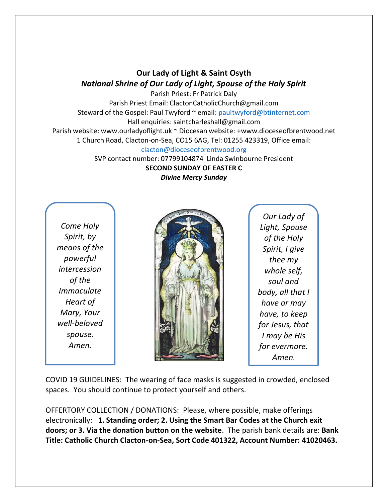## **Our Lady of Light & Saint Osyth** *National Shrine of Our Lady of Light, Spouse of the Holy Spirit*

Parish Priest: Fr Patrick Daly Parish Priest Email: ClactonCatholicChurch@gmail.com Steward of the Gospel: Paul Twyford ~ email: [paultwyford@btinternet.com](mailto:paultwyford@btinternet.com) Hall enquiries: saintcharleshall@gmail.com Parish website: www.ourladyoflight.uk ~ Diocesan website: +www.dioceseofbrentwood.net 1 Church Road, Clacton-on-Sea, CO15 6AG, Tel: 01255 423319, Office email: [clacton@dioceseofbrentwood.org](mailto:clacton@dioceseofbrentwood.org)

SVP contact number: 07799104874 Linda Swinbourne President **SECOND SUNDAY OF EASTER C** *Divine Mercy Sunday*

*Come Holy Spirit, by means of the powerful intercession of the Immaculate Heart of Mary, Your well-beloved spouse. Amen.*



*Our Lady of Light, Spouse of the Holy Spirit, I give thee my whole self, soul and body, all that I have or may have, to keep for Jesus, that I may be His for evermore. Amen.*

COVID 19 GUIDELINES: The wearing of face masks is suggested in crowded, enclosed spaces. You should continue to protect yourself and others.

OFFERTORY COLLECTION / DONATIONS: Please, where possible, make offerings electronically: **1. Standing order; 2. Using the Smart Bar Codes at the Church exit doors; or 3. Via the donation button on the website**. The parish bank details are: **Bank Title: Catholic Church Clacton-on-Sea, Sort Code 401322, Account Number: 41020463.**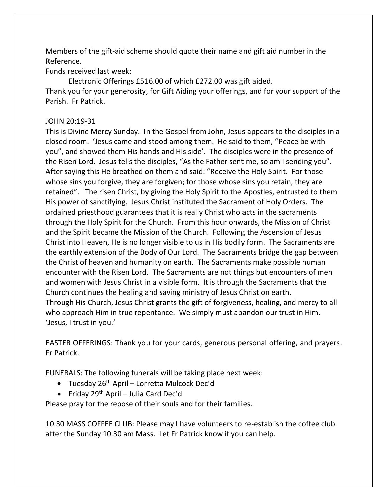Members of the gift-aid scheme should quote their name and gift aid number in the Reference.

Funds received last week:

Electronic Offerings £516.00 of which £272.00 was gift aided. Thank you for your generosity, for Gift Aiding your offerings, and for your support of the Parish. Fr Patrick.

## JOHN 20:19-31

This is Divine Mercy Sunday. In the Gospel from John, Jesus appears to the disciples in a closed room. 'Jesus came and stood among them. He said to them, "Peace be with you", and showed them His hands and His side'. The disciples were in the presence of the Risen Lord. Jesus tells the disciples, "As the Father sent me, so am I sending you". After saying this He breathed on them and said: "Receive the Holy Spirit. For those whose sins you forgive, they are forgiven; for those whose sins you retain, they are retained". The risen Christ, by giving the Holy Spirit to the Apostles, entrusted to them His power of sanctifying. Jesus Christ instituted the Sacrament of Holy Orders. The ordained priesthood guarantees that it is really Christ who acts in the sacraments through the Holy Spirit for the Church. From this hour onwards, the Mission of Christ and the Spirit became the Mission of the Church. Following the Ascension of Jesus Christ into Heaven, He is no longer visible to us in His bodily form. The Sacraments are the earthly extension of the Body of Our Lord. The Sacraments bridge the gap between the Christ of heaven and humanity on earth. The Sacraments make possible human encounter with the Risen Lord. The Sacraments are not things but encounters of men and women with Jesus Christ in a visible form. It is through the Sacraments that the Church continues the healing and saving ministry of Jesus Christ on earth. Through His Church, Jesus Christ grants the gift of forgiveness, healing, and mercy to all who approach Him in true repentance. We simply must abandon our trust in Him. 'Jesus, I trust in you.'

EASTER OFFERINGS: Thank you for your cards, generous personal offering, and prayers. Fr Patrick.

FUNERALS: The following funerals will be taking place next week:

- Tuesday 26<sup>th</sup> April Lorretta Mulcock Dec'd
- Friday 29<sup>th</sup> April Julia Card Dec'd

Please pray for the repose of their souls and for their families.

10.30 MASS COFFEE CLUB: Please may I have volunteers to re-establish the coffee club after the Sunday 10.30 am Mass. Let Fr Patrick know if you can help.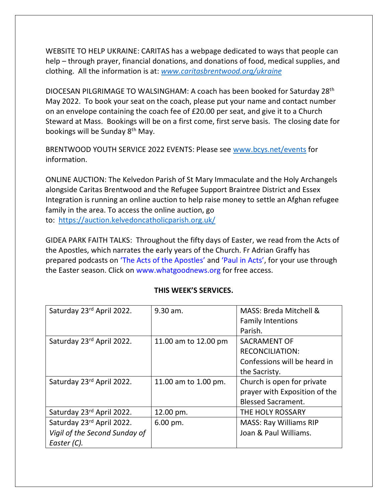WEBSITE TO HELP UKRAINE: CARITAS has a webpage dedicated to ways that people can help – through prayer, financial donations, and donations of food, medical supplies, and clothing. All the information is at: *[www.caritasbrentwood.org/ukraine](http://www.caritasbrentwood.org/ukraine)*

DIOCESAN PILGRIMAGE TO WALSINGHAM: A coach has been booked for Saturday 28th May 2022. To book your seat on the coach, please put your name and contact number on an envelope containing the coach fee of £20.00 per seat, and give it to a Church Steward at Mass. Bookings will be on a first come, first serve basis. The closing date for bookings will be Sunday 8th May.

BRENTWOOD YOUTH SERVICE 2022 EVENTS: Please see [www.bcys.net/events](http://www.bcys.net/events) for information.

ONLINE AUCTION: The Kelvedon Parish of St Mary Immaculate and the Holy Archangels alongside Caritas Brentwood and the Refugee Support Braintree District and Essex Integration is running an online auction to help raise money to settle an Afghan refugee family in the area. To access the online auction, go to: [https://auction.kelvedoncatholicparish.org.uk/](https://nam12.safelinks.protection.outlook.com/?url=https%3A%2F%2Fauction.kelvedoncatholicparish.org.uk%2F&data=04%7C01%7C%7C91d1e74255f64d86a0dd08da1a603489%7C84df9e7fe9f640afb435aaaaaaaaaaaa%7C1%7C0%7C637851297736566399%7CUnknown%7CTWFpbGZsb3d8eyJWIjoiMC4wLjAwMDAiLCJQIjoiV2luMzIiLCJBTiI6Ik1haWwiLCJXVCI6Mn0%3D%7C3000&sdata=4ZP2FSPpnTUWHs05OXGJGpVqnOGTofA5vNmsDpsx8Ws%3D&reserved=0)

GIDEA PARK FAITH TALKS: Throughout the fifty days of Easter, we read from the Acts of the Apostles, which narrates the early years of the Church. Fr Adrian Graffy has prepared podcasts on 'The Acts of the Apostles' and 'Paul in Acts', for your use through the Easter season. Click on www.whatgoodnews.org for free access.

| Saturday 23rd April 2022.     | 9.30 am.             | MASS: Breda Mitchell &        |
|-------------------------------|----------------------|-------------------------------|
|                               |                      | <b>Family Intentions</b>      |
|                               |                      | Parish.                       |
| Saturday 23rd April 2022.     | 11.00 am to 12.00 pm | <b>SACRAMENT OF</b>           |
|                               |                      | <b>RECONCILIATION:</b>        |
|                               |                      | Confessions will be heard in  |
|                               |                      | the Sacristy.                 |
| Saturday 23rd April 2022.     | 11.00 am to 1.00 pm. | Church is open for private    |
|                               |                      | prayer with Exposition of the |
|                               |                      | <b>Blessed Sacrament.</b>     |
| Saturday 23rd April 2022.     | 12.00 pm.            | THE HOLY ROSSARY              |
| Saturday 23rd April 2022.     | $6.00$ pm.           | <b>MASS: Ray Williams RIP</b> |
| Vigil of the Second Sunday of |                      | Joan & Paul Williams.         |
| Easter (C).                   |                      |                               |

## **THIS WEEK'S SERVICES.**